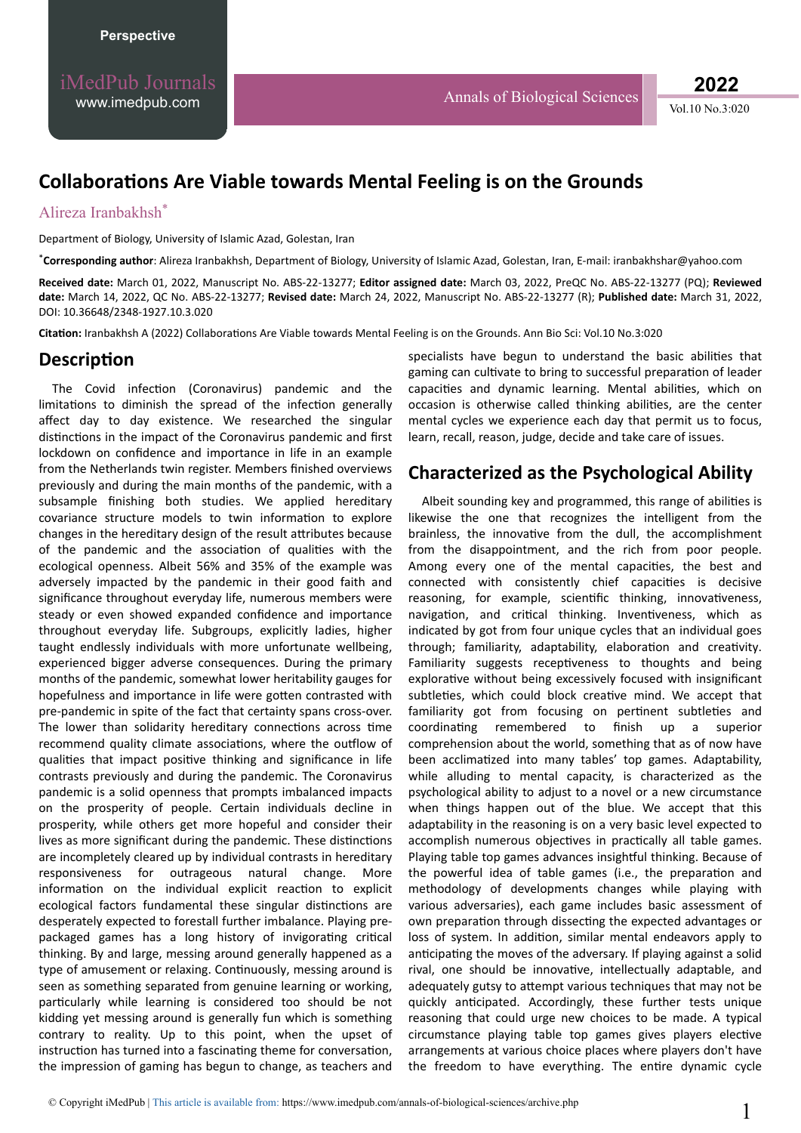Vol.10 No.3:020 **2022**

# **ŽůůĂbŽƌĂƟŽŶƐ Are Viable towards Mental Feeling is on the Grounds**

#### Alireza Iranbakhsh\*

Department of Biology, University of Islamic Azad, Golestan, Iran

\***Corresponding author**: Alireza Iranbakhsh, Department of Biology, University of Islamic Azad, Golestan, Iran, E-mail: iranbakhshar@yahoo.com

**Received date:** March 01, 2022, Manuscript No. ABS-22-13277; **Editor assigned date:** March 03, 2022, PreQC No. ABS-22-13277 (PQ); **Reviewed date:** March 14, 2022, QC No. ABS-22-13277; **Revised date:** March 24, 2022, Manuscript No. ABS-22-13277 (R); **Published date:** March 31, 2022, DOI: 10.36648/2348-1927.10.3.020

Citation: Iranbakhsh A (2022) Collaborations Are Viable towards Mental Feeling is on the Grounds. Ann Bio Sci: Vol.10 No.3:020

### **Description**

The Covid infection (Coronavirus) pandemic and the limitations to diminish the spread of the infection generally affect day to day existence. We researched the singular distinctions in the impact of the Coronavirus pandemic and first lockdown on confidence and importance in life in an example from the Netherlands twin register. Members finished overviews previously and during the main months of the pandemic, with a subsample finishing both studies. We applied hereditary covariance structure models to twin information to explore changes in the hereditary design of the result attributes because of the pandemic and the association of qualities with the ecological openness. Albeit 56% and 35% of the example was adversely impacted by the pandemic in their good faith and significance throughout everyday life, numerous members were steady or even showed expanded confidence and importance throughout everyday life. Subgroups, explicitly ladies, higher taught endlessly individuals with more unfortunate wellbeing, experienced bigger adverse consequences. During the primary months of the pandemic, somewhat lower heritability gauges for hopefulness and importance in life were gotten contrasted with pre-pandemic in spite of the fact that certainty spans cross-over. The lower than solidarity hereditary connections across time recommend quality climate associations, where the outflow of qualities that impact positive thinking and significance in life contrasts previously and during the pandemic. The Coronavirus pandemic is a solid openness that prompts imbalanced impacts on the prosperity of people. Certain individuals decline in prosperity, while others get more hopeful and consider their lives as more significant during the pandemic. These distinctions are incompletely cleared up by individual contrasts in hereditary responsiveness for outrageous natural change. More information on the individual explicit reaction to explicit ecological factors fundamental these singular distinctions are desperately expected to forestall further imbalance. Playing prepackaged games has a long history of invigorating critical thinking. By and large, messing around generally happened as a type of amusement or relaxing. Continuously, messing around is seen as something separated from genuine learning or working, particularly while learning is considered too should be not kidding yet messing around is generally fun which is something contrary to reality. Up to this point, when the upset of instruction has turned into a fascinating theme for conversation, the impression of gaming has begun to change, as teachers and

specialists have begun to understand the basic abilities that gaming can cultivate to bring to successful preparation of leader capacities and dynamic learning. Mental abilities, which on occasion is otherwise called thinking abilities, are the center mental cycles we experience each day that permit us to focus, learn, recall, reason, judge, decide and take care of issues.

## **Characterized as the Psychological Ability**

Albeit sounding key and programmed, this range of abilities is likewise the one that recognizes the intelligent from the brainless, the innovative from the dull, the accomplishment from the disappointment, and the rich from poor people. Among every one of the mental capacities, the best and connected with consistently chief capacities is decisive reasoning, for example, scientific thinking, innovativeness, navigation, and critical thinking. Inventiveness, which as indicated by got from four unique cycles that an individual goes through; familiarity, adaptability, elaboration and creativity. Familiarity suggests receptiveness to thoughts and being explorative without being excessively focused with insignificant subtleties, which could block creative mind. We accept that familiarity got from focusing on pertinent subtleties and coordinating remembered to finish up a superior comprehension about the world, something that as of now have been acclimatized into many tables' top games. Adaptability, while alluding to mental capacity, is characterized as the psychological ability to adjust to a novel or a new circumstance when things happen out of the blue. We accept that this adaptability in the reasoning is on a very basic level expected to accomplish numerous objectives in practically all table games. Playing table top games advances insightful thinking. Because of the powerful idea of table games (i.e., the preparation and methodology of developments changes while playing with various adversaries), each game includes basic assessment of own preparation through dissecting the expected advantages or loss of system. In addition, similar mental endeavors apply to anticipating the moves of the adversary. If playing against a solid rival, one should be innovative, intellectually adaptable, and adequately gutsy to attempt various techniques that may not be quickly anticipated. Accordingly, these further tests unique reasoning that could urge new choices to be made. A typical circumstance playing table top games gives players elective arrangements at various choice places where players don't have the freedom to have everything. The entire dynamic cycle